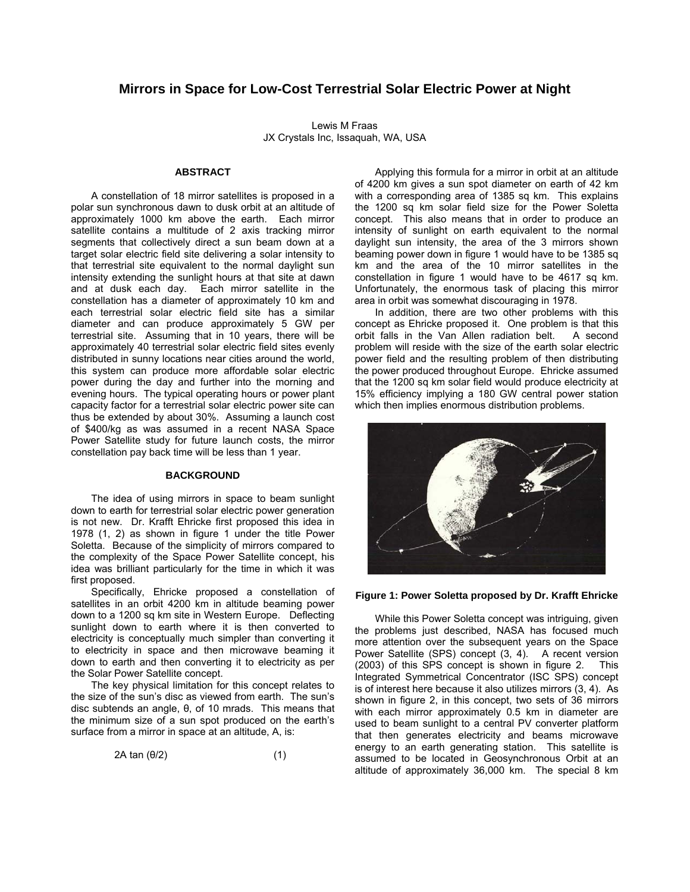# **Mirrors in Space for Low-Cost Terrestrial Solar Electric Power at Night**

Lewis M Fraas JX Crystals Inc, Issaquah, WA, USA

#### **ABSTRACT**

A constellation of 18 mirror satellites is proposed in a polar sun synchronous dawn to dusk orbit at an altitude of approximately 1000 km above the earth. Each mirror satellite contains a multitude of 2 axis tracking mirror segments that collectively direct a sun beam down at a target solar electric field site delivering a solar intensity to that terrestrial site equivalent to the normal daylight sun intensity extending the sunlight hours at that site at dawn and at dusk each day. Each mirror satellite in the constellation has a diameter of approximately 10 km and each terrestrial solar electric field site has a similar diameter and can produce approximately 5 GW per terrestrial site. Assuming that in 10 years, there will be approximately 40 terrestrial solar electric field sites evenly distributed in sunny locations near cities around the world, this system can produce more affordable solar electric power during the day and further into the morning and evening hours. The typical operating hours or power plant capacity factor for a terrestrial solar electric power site can thus be extended by about 30%. Assuming a launch cost of \$400/kg as was assumed in a recent NASA Space Power Satellite study for future launch costs, the mirror constellation pay back time will be less than 1 year.

#### **BACKGROUND**

The idea of using mirrors in space to beam sunlight down to earth for terrestrial solar electric power generation is not new. Dr. Krafft Ehricke first proposed this idea in 1978 (1, 2) as shown in figure 1 under the title Power Soletta. Because of the simplicity of mirrors compared to the complexity of the Space Power Satellite concept, his idea was brilliant particularly for the time in which it was first proposed.

Specifically, Ehricke proposed a constellation of satellites in an orbit 4200 km in altitude beaming power down to a 1200 sq km site in Western Europe. Deflecting sunlight down to earth where it is then converted to electricity is conceptually much simpler than converting it to electricity in space and then microwave beaming it down to earth and then converting it to electricity as per the Solar Power Satellite concept.

The key physical limitation for this concept relates to the size of the sun's disc as viewed from earth. The sun's disc subtends an angle, θ, of 10 mrads. This means that the minimum size of a sun spot produced on the earth's surface from a mirror in space at an altitude, A, is:

$$
2A \tan(\theta/2) \tag{1}
$$

Applying this formula for a mirror in orbit at an altitude of 4200 km gives a sun spot diameter on earth of 42 km with a corresponding area of 1385 sq km. This explains the 1200 sq km solar field size for the Power Soletta concept. This also means that in order to produce an intensity of sunlight on earth equivalent to the normal daylight sun intensity, the area of the 3 mirrors shown beaming power down in figure 1 would have to be 1385 sq km and the area of the 10 mirror satellites in the constellation in figure 1 would have to be 4617 sq km. Unfortunately, the enormous task of placing this mirror area in orbit was somewhat discouraging in 1978.

In addition, there are two other problems with this concept as Ehricke proposed it. One problem is that this orbit falls in the Van Allen radiation belt. A second problem will reside with the size of the earth solar electric power field and the resulting problem of then distributing the power produced throughout Europe. Ehricke assumed that the 1200 sq km solar field would produce electricity at 15% efficiency implying a 180 GW central power station which then implies enormous distribution problems.



#### **Figure 1: Power Soletta proposed by Dr. Krafft Ehricke**

While this Power Soletta concept was intriguing, given the problems just described, NASA has focused much more attention over the subsequent years on the Space Power Satellite (SPS) concept (3, 4). A recent version (2003) of this SPS concept is shown in figure 2. This Integrated Symmetrical Concentrator (ISC SPS) concept is of interest here because it also utilizes mirrors (3, 4). As shown in figure 2, in this concept, two sets of 36 mirrors with each mirror approximately 0.5 km in diameter are used to beam sunlight to a central PV converter platform that then generates electricity and beams microwave energy to an earth generating station. This satellite is assumed to be located in Geosynchronous Orbit at an altitude of approximately 36,000 km. The special 8 km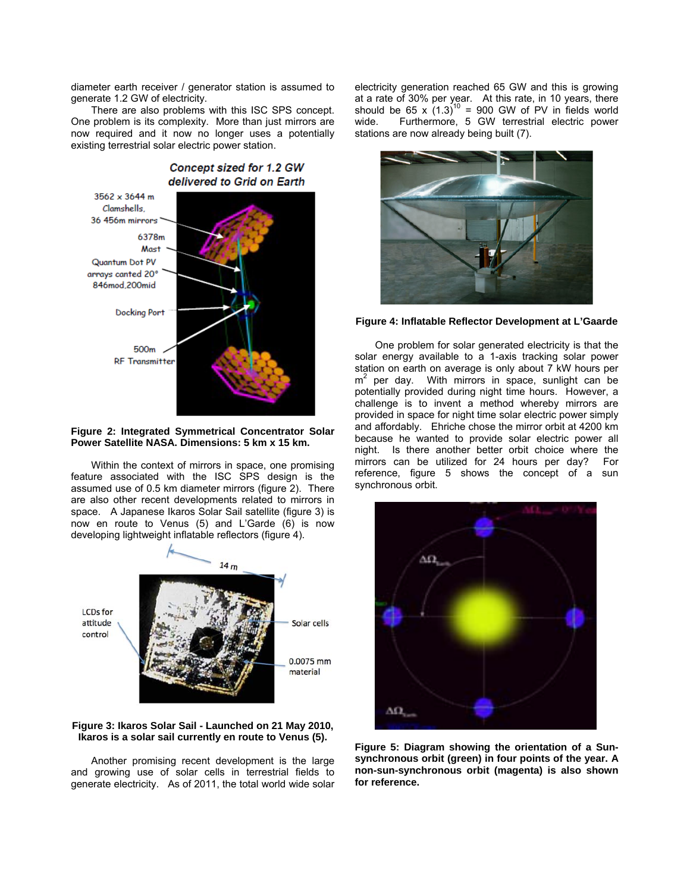diameter earth receiver / generator station is assumed to generate 1.2 GW of electricity.

There are also problems with this ISC SPS concept. One problem is its complexity. More than just mirrors are now required and it now no longer uses a potentially existing terrestrial solar electric power station.



# **Figure 2: Integrated Symmetrical Concentrator Solar Power Satellite NASA. Dimensions: 5 km x 15 km.**

Within the context of mirrors in space, one promising feature associated with the ISC SPS design is the assumed use of 0.5 km diameter mirrors (figure 2). There are also other recent developments related to mirrors in space. A Japanese Ikaros Solar Sail satellite (figure 3) is now en route to Venus (5) and L'Garde (6) is now developing lightweight inflatable reflectors (figure 4).



# **Figure 3: Ikaros Solar Sail - Launched on 21 May 2010, Ikaros is a solar sail currently en route to Venus (5).**

Another promising recent development is the large and growing use of solar cells in terrestrial fields to generate electricity. As of 2011, the total world wide solar electricity generation reached 65 GW and this is growing at a rate of 30% per year. At this rate, in 10 years, there should be 65 x  $(1.3)^{10}$  = 900 GW of PV in fields world wide. Furthermore, 5 GW terrestrial electric power stations are now already being built (7).



**Figure 4: Inflatable Reflector Development at L'Gaarde** 

One problem for solar generated electricity is that the solar energy available to a 1-axis tracking solar power station on earth on average is only about 7 kW hours per  $m^2$  per day. With mirrors in space, sunlight can be potentially provided during night time hours. However, a challenge is to invent a method whereby mirrors are provided in space for night time solar electric power simply and affordably. Ehriche chose the mirror orbit at 4200 km because he wanted to provide solar electric power all night. Is there another better orbit choice where the mirrors can be utilized for 24 hours per day? For reference, figure 5 shows the concept of a sun synchronous orbit.



**Figure 5: Diagram showing the orientation of a Sunsynchronous orbit (green) in four points of the year. A non-sun-synchronous orbit (magenta) is also shown for reference.**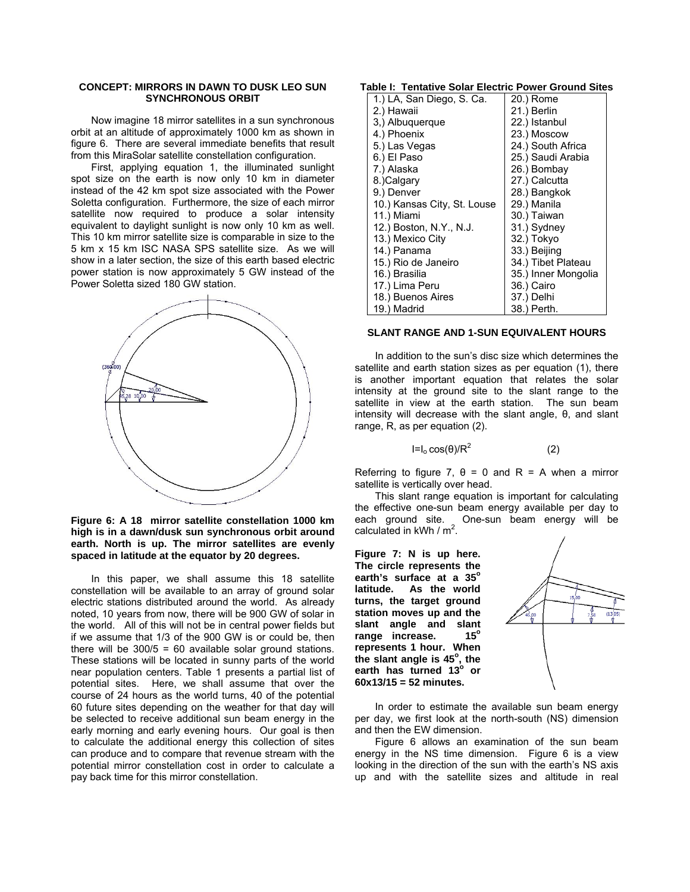# **CONCEPT: MIRRORS IN DAWN TO DUSK LEO SUN SYNCHRONOUS ORBIT**

Now imagine 18 mirror satellites in a sun synchronous orbit at an altitude of approximately 1000 km as shown in figure 6. There are several immediate benefits that result from this MiraSolar satellite constellation configuration.

First, applying equation 1, the illuminated sunlight spot size on the earth is now only 10 km in diameter instead of the 42 km spot size associated with the Power Soletta configuration. Furthermore, the size of each mirror satellite now required to produce a solar intensity equivalent to daylight sunlight is now only 10 km as well. This 10 km mirror satellite size is comparable in size to the 5 km x 15 km ISC NASA SPS satellite size. As we will show in a later section, the size of this earth based electric power station is now approximately 5 GW instead of the Power Soletta sized 180 GW station.



# **Figure 6: A 18 mirror satellite constellation 1000 km high is in a dawn/dusk sun synchronous orbit around earth. North is up. The mirror satellites are evenly spaced in latitude at the equator by 20 degrees.**

In this paper, we shall assume this 18 satellite constellation will be available to an array of ground solar electric stations distributed around the world. As already noted, 10 years from now, there will be 900 GW of solar in the world. All of this will not be in central power fields but if we assume that 1/3 of the 900 GW is or could be, then there will be  $300/5 = 60$  available solar ground stations. These stations will be located in sunny parts of the world near population centers. Table 1 presents a partial list of potential sites. Here, we shall assume that over the course of 24 hours as the world turns, 40 of the potential 60 future sites depending on the weather for that day will be selected to receive additional sun beam energy in the early morning and early evening hours. Our goal is then to calculate the additional energy this collection of sites can produce and to compare that revenue stream with the potential mirror constellation cost in order to calculate a pay back time for this mirror constellation.

### **Table I: Tentative Solar Electric Power Ground Sites**

| 1.) LA, San Diego, S. Ca.   | 20.) Rome           |
|-----------------------------|---------------------|
| 2.) Hawaii                  | 21.) Berlin         |
| 3,) Albuquerque             | 22.) Istanbul       |
| 4.) Phoenix                 | 23.) Moscow         |
| 5.) Las Vegas               | 24.) South Africa   |
| 6.) El Paso                 | 25.) Saudi Arabia   |
| 7.) Alaska                  | 26.) Bombay         |
| 8.)Calgary                  | 27.) Calcutta       |
| 9.) Denver                  | 28.) Bangkok        |
| 10.) Kansas City, St. Louse | 29.) Manila         |
| 11.) Miami                  | 30.) Taiwan         |
| 12.) Boston, N.Y., N.J.     | 31.) Sydney         |
| 13.) Mexico City            | 32.) Tokyo          |
| 14.) Panama                 | 33.) Beijing        |
| 15.) Rio de Janeiro         | 34.) Tibet Plateau  |
| 16.) Brasilia               | 35.) Inner Mongolia |
| 17.) Lima Peru              | 36.) Cairo          |
| 18.) Buenos Aires           | 37.) Delhi          |
| 19.) Madrid                 | 38.) Perth.         |

#### **SLANT RANGE AND 1-SUN EQUIVALENT HOURS**

In addition to the sun's disc size which determines the satellite and earth station sizes as per equation (1), there is another important equation that relates the solar intensity at the ground site to the slant range to the satellite in view at the earth station. The sun beam intensity will decrease with the slant angle, θ, and slant range, R, as per equation (2).

$$
I = I_0 \cos(\theta) / R^2 \tag{2}
$$

Referring to figure 7,  $θ = 0$  and R = A when a mirror satellite is vertically over head.

This slant range equation is important for calculating the effective one-sun beam energy available per day to each ground site. One-sun beam energy will be calculated in  $kWh / m^2$ .

**Figure 7: N is up here. The circle represents the**  earth's surface at a 35° **latitude. As the world turns, the target ground station moves up and the slant angle and slant**  range increase. 15<sup>°</sup> **represents 1 hour. When**  the slant angle is 45<sup>°</sup>, the earth has turned 13<sup>°</sup> or **60x13/15 = 52 minutes.** 



In order to estimate the available sun beam energy per day, we first look at the north-south (NS) dimension and then the EW dimension.

Figure 6 allows an examination of the sun beam energy in the NS time dimension. Figure 6 is a view looking in the direction of the sun with the earth's NS axis up and with the satellite sizes and altitude in real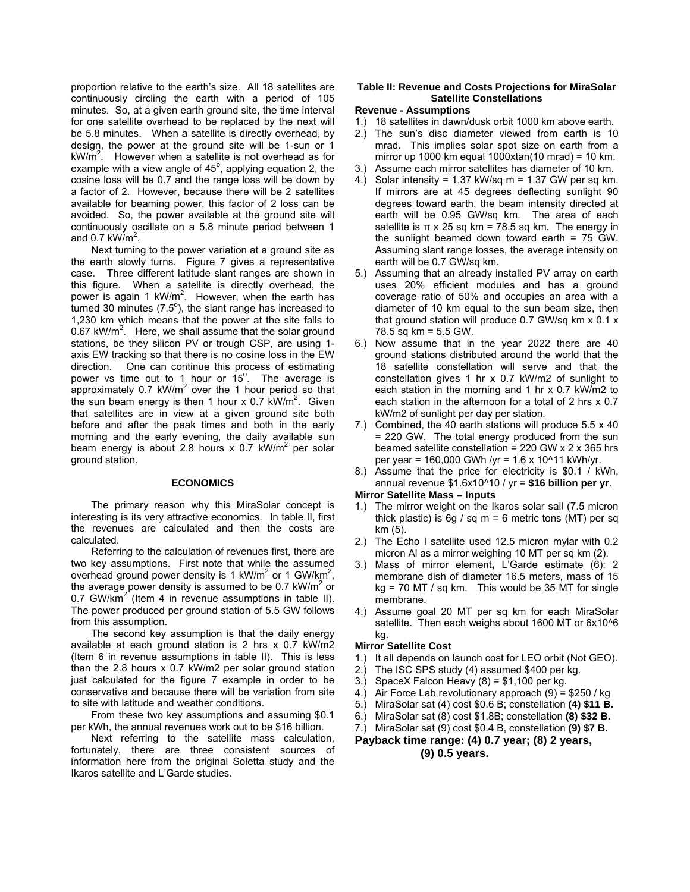proportion relative to the earth's size. All 18 satellites are continuously circling the earth with a period of 105 minutes. So, at a given earth ground site, the time interval for one satellite overhead to be replaced by the next will be 5.8 minutes. When a satellite is directly overhead, by design, the power at the ground site will be 1-sun or 1  $kW/m^2$ . However when a satellite is not overhead as for example with a view angle of  $45^\circ$ , applying equation 2, the cosine loss will be 0.7 and the range loss will be down by a factor of 2. However, because there will be 2 satellites available for beaming power, this factor of 2 loss can be avoided. So, the power available at the ground site will continuously oscillate on a 5.8 minute period between 1 and 0.7 kW/ $m^2$ .

Next turning to the power variation at a ground site as the earth slowly turns. Figure 7 gives a representative case. Three different latitude slant ranges are shown in this figure. When a satellite is directly overhead, the power is again 1 kW/m<sup>2</sup>. However, when the earth has turned 30 minutes ( $7.5^{\circ}$ ), the slant range has increased to 1,230 km which means that the power at the site falls to  $0.67$  kW/m<sup>2</sup>. Here, we shall assume that the solar ground stations, be they silicon PV or trough CSP, are using 1 axis EW tracking so that there is no cosine loss in the EW direction. One can continue this process of estimating power vs time out to 1 hour or  $15^\circ$ . The average is approximately 0.7 kW/m<sup>2</sup> over the 1 hour period so that the sun beam energy is then 1 hour x 0.7  $kW/m^2$ . Given that satellites are in view at a given ground site both before and after the peak times and both in the early morning and the early evening, the daily available sun beam energy is about 2.8 hours x 0.7  $\text{kW/m}^2$  per solar ground station.

#### **ECONOMICS**

The primary reason why this MiraSolar concept is interesting is its very attractive economics. In table II, first the revenues are calculated and then the costs are calculated.

Referring to the calculation of revenues first, there are two key assumptions. First note that while the assumed overhead ground power density is 1 kW/m<sup>2</sup> or 1 GW/km<sup>2</sup>, the average power density is assumed to be 0.7  $kW/m^2$  or 0.7 GW/ $km^2$  (Item 4 in revenue assumptions in table II). The power produced per ground station of 5.5 GW follows from this assumption.

The second key assumption is that the daily energy available at each ground station is 2 hrs x 0.7 kW/m2 (Item 6 in revenue assumptions in table II). This is less than the 2.8 hours x 0.7 kW/m2 per solar ground station just calculated for the figure 7 example in order to be conservative and because there will be variation from site to site with latitude and weather conditions.

From these two key assumptions and assuming \$0.1 per kWh, the annual revenues work out to be \$16 billion.

Next referring to the satellite mass calculation, fortunately, there are three consistent sources of information here from the original Soletta study and the Ikaros satellite and L'Garde studies.

# **Table II: Revenue and Costs Projections for MiraSolar Satellite Constellations**

### **Revenue - Assumptions**

- 1.) 18 satellites in dawn/dusk orbit 1000 km above earth.
- 2.) The sun's disc diameter viewed from earth is 10 mrad. This implies solar spot size on earth from a mirror up 1000 km equal 1000xtan(10 mrad) = 10 km.
- 3.) Assume each mirror satellites has diameter of 10 km.
- 4.) Solar intensity = 1.37 kW/sq m = 1.37 GW per sq km. If mirrors are at 45 degrees deflecting sunlight 90 degrees toward earth, the beam intensity directed at earth will be 0.95 GW/sq km. The area of each satellite is  $\pi$  x 25 sq km = 78.5 sq km. The energy in the sunlight beamed down toward earth = 75 GW. Assuming slant range losses, the average intensity on earth will be 0.7 GW/sq km.
- 5.) Assuming that an already installed PV array on earth uses 20% efficient modules and has a ground coverage ratio of 50% and occupies an area with a diameter of 10 km equal to the sun beam size, then that ground station will produce 0.7 GW/sq km x 0.1 x 78.5 sq km = 5.5 GW.
- 6.) Now assume that in the year 2022 there are 40 ground stations distributed around the world that the 18 satellite constellation will serve and that the constellation gives 1 hr x 0.7 kW/m2 of sunlight to each station in the morning and 1 hr x 0.7 kW/m2 to each station in the afternoon for a total of 2 hrs x 0.7 kW/m2 of sunlight per day per station.
- 7.) Combined, the 40 earth stations will produce 5.5 x 40 = 220 GW. The total energy produced from the sun beamed satellite constellation = 220 GW x 2 x 365 hrs per year = 160,000 GWh /yr = 1.6 x 10^11 kWh/yr.
- 8.) Assume that the price for electricity is \$0.1 / kWh, annual revenue \$1.6x10^10 / yr = **\$16 billion per yr**.

### **Mirror Satellite Mass – Inputs**

- 1.) The mirror weight on the Ikaros solar sail (7.5 micron thick plastic) is 6g / sq  $m = 6$  metric tons (MT) per sq km (5).
- 2.) The Echo I satellite used 12.5 micron mylar with 0.2 micron Al as a mirror weighing 10 MT per sq km (2).
- 3.) Mass of mirror element**,** L'Garde estimate (6): 2 membrane dish of diameter 16.5 meters, mass of 15  $kg = 70$  MT / sq km. This would be 35 MT for single membrane.
- 4.) Assume goal 20 MT per sq km for each MiraSolar satellite. Then each weighs about 1600 MT or 6x10^6 kg.

### **Mirror Satellite Cost**

- 1.) It all depends on launch cost for LEO orbit (Not GEO).
- 2.) The ISC SPS study (4) assumed \$400 per kg.
- 3.) SpaceX Falcon Heavy  $(8) = $1,100$  per kg.
- 4.) Air Force Lab revolutionary approach (9) = \$250 / kg
- 5.) MiraSolar sat (4) cost \$0.6 B; constellation **(4) \$11 B.**
- 6.) MiraSolar sat (8) cost \$1.8B; constellation **(8) \$32 B.**
- 7.) MiraSolar sat (9) cost \$0.4 B, constellation **(9) \$7 B.**

# **Payback time range: (4) 0.7 year; (8) 2 years, (9) 0.5 years.**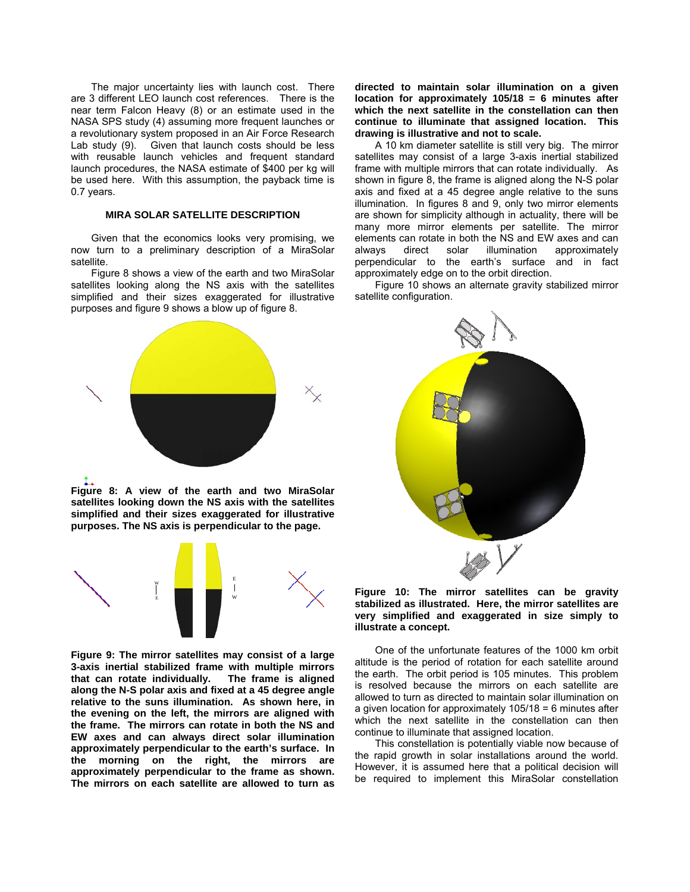The major uncertainty lies with launch cost. There are 3 different LEO launch cost references. There is the near term Falcon Heavy (8) or an estimate used in the NASA SPS study (4) assuming more frequent launches or a revolutionary system proposed in an Air Force Research Lab study (9). Given that launch costs should be less with reusable launch vehicles and frequent standard launch procedures, the NASA estimate of \$400 per kg will be used here. With this assumption, the payback time is 0.7 years.

### **MIRA SOLAR SATELLITE DESCRIPTION**

Given that the economics looks very promising, we now turn to a preliminary description of a MiraSolar satellite.

Figure 8 shows a view of the earth and two MiraSolar satellites looking along the NS axis with the satellites simplified and their sizes exaggerated for illustrative purposes and figure 9 shows a blow up of figure 8.

**directed to maintain solar illumination on a given location for approximately 105/18 = 6 minutes after which the next satellite in the constellation can then continue to illuminate that assigned location. This drawing is illustrative and not to scale.** 

A 10 km diameter satellite is still very big. The mirror satellites may consist of a large 3-axis inertial stabilized frame with multiple mirrors that can rotate individually. As shown in figure 8, the frame is aligned along the N-S polar axis and fixed at a 45 degree angle relative to the suns illumination. In figures 8 and 9, only two mirror elements are shown for simplicity although in actuality, there will be many more mirror elements per satellite. The mirror elements can rotate in both the NS and EW axes and can always direct solar illumination approximately perpendicular to the earth's surface and in fact approximately edge on to the orbit direction.

Figure 10 shows an alternate gravity stabilized mirror satellite configuration.



**Figure 8: A view of the earth and two MiraSolar satellites looking down the NS axis with the satellites simplified and their sizes exaggerated for illustrative purposes. The NS axis is perpendicular to the page.** 



**Figure 9: The mirror satellites may consist of a large 3-axis inertial stabilized frame with multiple mirrors that can rotate individually. The frame is aligned along the N-S polar axis and fixed at a 45 degree angle relative to the suns illumination. As shown here, in the evening on the left, the mirrors are aligned with the frame. The mirrors can rotate in both the NS and EW axes and can always direct solar illumination approximately perpendicular to the earth's surface. In the morning on the right, the mirrors are approximately perpendicular to the frame as shown. The mirrors on each satellite are allowed to turn as** 



**Figure 10: The mirror satellites can be gravity stabilized as illustrated. Here, the mirror satellites are very simplified and exaggerated in size simply to illustrate a concept.** 

One of the unfortunate features of the 1000 km orbit altitude is the period of rotation for each satellite around the earth. The orbit period is 105 minutes. This problem is resolved because the mirrors on each satellite are allowed to turn as directed to maintain solar illumination on a given location for approximately 105/18 = 6 minutes after which the next satellite in the constellation can then continue to illuminate that assigned location.

This constellation is potentially viable now because of the rapid growth in solar installations around the world. However, it is assumed here that a political decision will be required to implement this MiraSolar constellation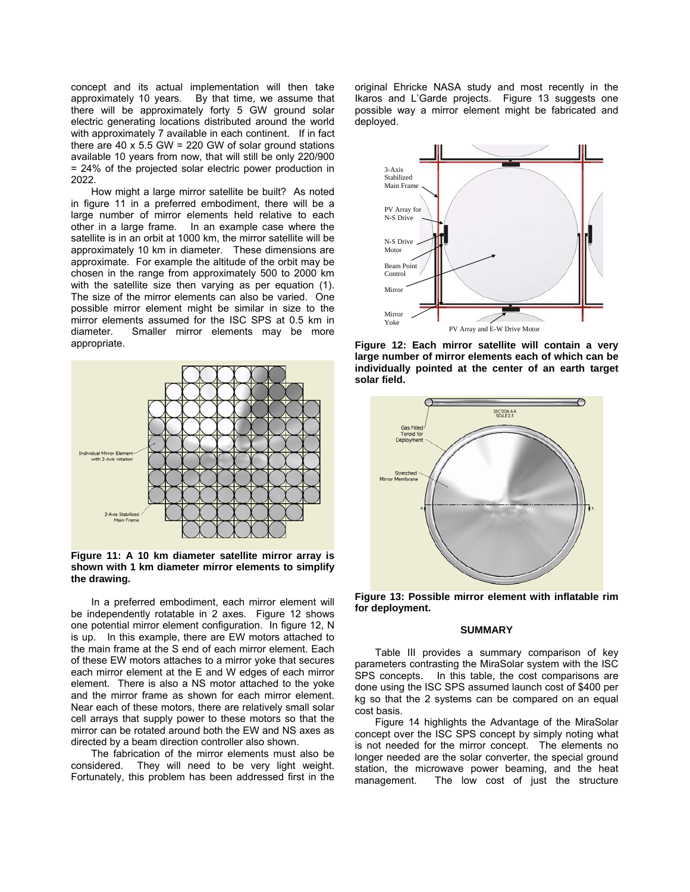concept and its actual implementation will then take approximately 10 years. By that time, we assume that there will be approximately forty 5 GW ground solar electric generating locations distributed around the world with approximately 7 available in each continent. If in fact there are 40  $\times$  5.5 GW = 220 GW of solar ground stations available 10 years from now, that will still be only 220/900 = 24% of the projected solar electric power production in 2022.

How might a large mirror satellite be built? As noted in figure 11 in a preferred embodiment, there will be a large number of mirror elements held relative to each other in a large frame. In an example case where the satellite is in an orbit at 1000 km, the mirror satellite will be approximately 10 km in diameter. These dimensions are approximate. For example the altitude of the orbit may be chosen in the range from approximately 500 to 2000 km with the satellite size then varying as per equation (1). The size of the mirror elements can also be varied. One possible mirror element might be similar in size to the mirror elements assumed for the ISC SPS at 0.5 km in diameter. Smaller mirror elements may be more appropriate.



**Figure 11: A 10 km diameter satellite mirror array is shown with 1 km diameter mirror elements to simplify the drawing.** 

In a preferred embodiment, each mirror element will be independently rotatable in 2 axes. Figure 12 shows one potential mirror element configuration. In figure 12, N is up. In this example, there are EW motors attached to the main frame at the S end of each mirror element. Each of these EW motors attaches to a mirror yoke that secures each mirror element at the E and W edges of each mirror element. There is also a NS motor attached to the yoke and the mirror frame as shown for each mirror element. Near each of these motors, there are relatively small solar cell arrays that supply power to these motors so that the mirror can be rotated around both the EW and NS axes as directed by a beam direction controller also shown.

The fabrication of the mirror elements must also be considered. They will need to be very light weight. Fortunately, this problem has been addressed first in the original Ehricke NASA study and most recently in the Ikaros and L'Garde projects. Figure 13 suggests one possible way a mirror element might be fabricated and deployed.



**Figure 12: Each mirror satellite will contain a very large number of mirror elements each of which can be individually pointed at the center of an earth target solar field.** 



**Figure 13: Possible mirror element with inflatable rim for deployment.** 

#### **SUMMARY**

Table III provides a summary comparison of key parameters contrasting the MiraSolar system with the ISC SPS concepts. In this table, the cost comparisons are done using the ISC SPS assumed launch cost of \$400 per kg so that the 2 systems can be compared on an equal cost basis.

Figure 14 highlights the Advantage of the MiraSolar concept over the ISC SPS concept by simply noting what is not needed for the mirror concept. The elements no longer needed are the solar converter, the special ground station, the microwave power beaming, and the heat management. The low cost of just the structure